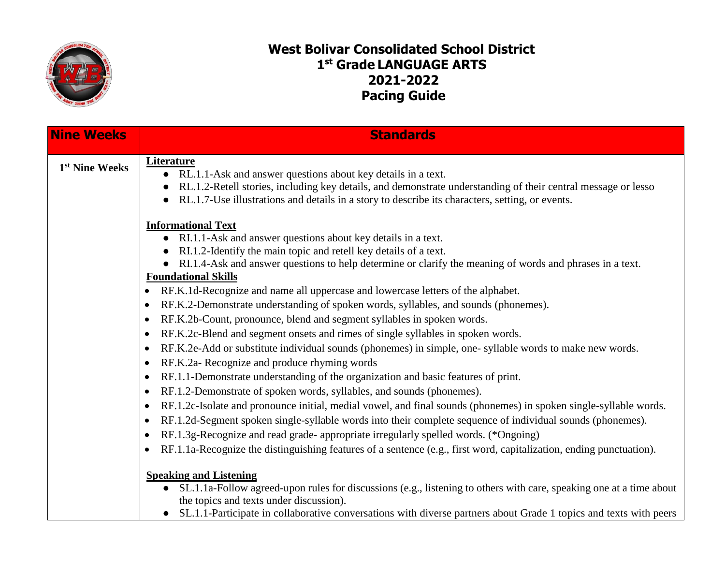

## **West Bolivar Consolidated School District 1 st Grade LANGUAGE ARTS 2021-2022 Pacing Guide**

| <b>Nine Weeks</b>          | <b>Standards</b>                                                                                                                                                                                                                                                                                        |
|----------------------------|---------------------------------------------------------------------------------------------------------------------------------------------------------------------------------------------------------------------------------------------------------------------------------------------------------|
| 1 <sup>st</sup> Nine Weeks | <b>Literature</b><br>• RL.1.1-Ask and answer questions about key details in a text.<br>RL.1.2-Retell stories, including key details, and demonstrate understanding of their central message or lesso<br>RL.1.7-Use illustrations and details in a story to describe its characters, setting, or events. |
|                            | <b>Informational Text</b>                                                                                                                                                                                                                                                                               |
|                            | • RI.1.1-Ask and answer questions about key details in a text.                                                                                                                                                                                                                                          |
|                            | RI.1.2-Identify the main topic and retell key details of a text.                                                                                                                                                                                                                                        |
|                            | RI.1.4-Ask and answer questions to help determine or clarify the meaning of words and phrases in a text.<br><b>Foundational Skills</b>                                                                                                                                                                  |
|                            | RF.K.1d-Recognize and name all uppercase and lowercase letters of the alphabet.<br>$\bullet$                                                                                                                                                                                                            |
|                            | RF.K.2-Demonstrate understanding of spoken words, syllables, and sounds (phonemes).<br>$\bullet$                                                                                                                                                                                                        |
|                            | RF.K.2b-Count, pronounce, blend and segment syllables in spoken words.<br>$\bullet$                                                                                                                                                                                                                     |
|                            | RF.K.2c-Blend and segment onsets and rimes of single syllables in spoken words.<br>$\bullet$                                                                                                                                                                                                            |
|                            | RF.K.2e-Add or substitute individual sounds (phonemes) in simple, one-syllable words to make new words.<br>$\bullet$                                                                                                                                                                                    |
|                            | RF.K.2a- Recognize and produce rhyming words<br>$\bullet$                                                                                                                                                                                                                                               |
|                            | RF.1.1-Demonstrate understanding of the organization and basic features of print.<br>$\bullet$                                                                                                                                                                                                          |
|                            | RF.1.2-Demonstrate of spoken words, syllables, and sounds (phonemes).<br>$\bullet$                                                                                                                                                                                                                      |
|                            | RF.1.2c-Isolate and pronounce initial, medial vowel, and final sounds (phonemes) in spoken single-syllable words.<br>$\bullet$                                                                                                                                                                          |
|                            | RF.1.2d-Segment spoken single-syllable words into their complete sequence of individual sounds (phonemes).<br>$\bullet$                                                                                                                                                                                 |
|                            | RF.1.3g-Recognize and read grade- appropriate irregularly spelled words. (*Ongoing)<br>$\bullet$                                                                                                                                                                                                        |
|                            | RF.1.1a-Recognize the distinguishing features of a sentence (e.g., first word, capitalization, ending punctuation).<br>$\bullet$                                                                                                                                                                        |
|                            | <b>Speaking and Listening</b>                                                                                                                                                                                                                                                                           |
|                            | SL.1.1a-Follow agreed-upon rules for discussions (e.g., listening to others with care, speaking one at a time about<br>the topics and texts under discussion).                                                                                                                                          |
|                            | SL.1.1-Participate in collaborative conversations with diverse partners about Grade 1 topics and texts with peers                                                                                                                                                                                       |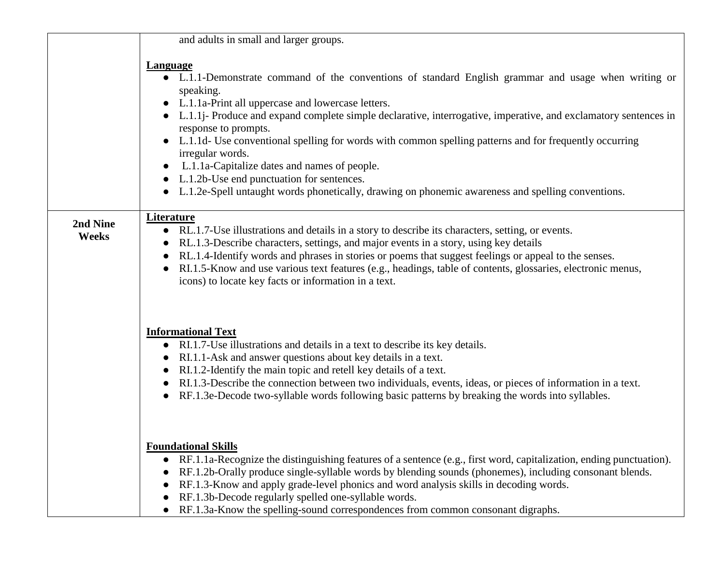|                   | and adults in small and larger groups.                                                                                                                                                                                                                                                                                                                                                                                                                                                                                                                                                                                                                               |
|-------------------|----------------------------------------------------------------------------------------------------------------------------------------------------------------------------------------------------------------------------------------------------------------------------------------------------------------------------------------------------------------------------------------------------------------------------------------------------------------------------------------------------------------------------------------------------------------------------------------------------------------------------------------------------------------------|
|                   | <b>Language</b><br>• L.1.1-Demonstrate command of the conventions of standard English grammar and usage when writing or<br>speaking.<br>L.1.1a-Print all uppercase and lowercase letters.<br>L.1.1j- Produce and expand complete simple declarative, interrogative, imperative, and exclamatory sentences in<br>response to prompts.<br>L.1.1d- Use conventional spelling for words with common spelling patterns and for frequently occurring<br>irregular words.<br>L.1.1a-Capitalize dates and names of people.<br>L.1.2b-Use end punctuation for sentences.<br>L.1.2e-Spell untaught words phonetically, drawing on phonemic awareness and spelling conventions. |
| 2nd Nine<br>Weeks | <b>Literature</b><br>RL.1.7-Use illustrations and details in a story to describe its characters, setting, or events.<br>RL.1.3-Describe characters, settings, and major events in a story, using key details<br>RL.1.4-Identify words and phrases in stories or poems that suggest feelings or appeal to the senses.<br>RI.1.5-Know and use various text features (e.g., headings, table of contents, glossaries, electronic menus,<br>icons) to locate key facts or information in a text.                                                                                                                                                                          |
|                   | <b>Informational Text</b><br>RI.1.7-Use illustrations and details in a text to describe its key details.<br>RI.1.1-Ask and answer questions about key details in a text.<br>RI.1.2-Identify the main topic and retell key details of a text.<br>RI.1.3-Describe the connection between two individuals, events, ideas, or pieces of information in a text.<br>RF.1.3e-Decode two-syllable words following basic patterns by breaking the words into syllables.                                                                                                                                                                                                       |
|                   | <b>Foundational Skills</b><br>RF.1.1a-Recognize the distinguishing features of a sentence (e.g., first word, capitalization, ending punctuation).<br>RF.1.2b-Orally produce single-syllable words by blending sounds (phonemes), including consonant blends.<br>RF.1.3-Know and apply grade-level phonics and word analysis skills in decoding words.<br>RF.1.3b-Decode regularly spelled one-syllable words.<br>RF.1.3a-Know the spelling-sound correspondences from common consonant digraphs.                                                                                                                                                                     |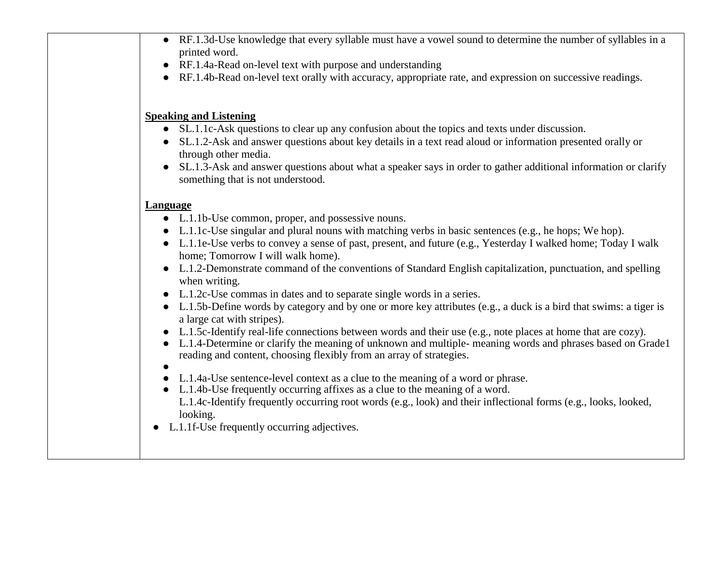|                        | RF.1.3d-Use knowledge that every syllable must have a vowel sound to determine the number of syllables in a                                                                        |
|------------------------|------------------------------------------------------------------------------------------------------------------------------------------------------------------------------------|
|                        | printed word.                                                                                                                                                                      |
| $\bullet$              | RF.1.4a-Read on-level text with purpose and understanding                                                                                                                          |
|                        | RF.1.4b-Read on-level text orally with accuracy, appropriate rate, and expression on successive readings.                                                                          |
|                        | <b>Speaking and Listening</b>                                                                                                                                                      |
|                        | • SL.1.1c-Ask questions to clear up any confusion about the topics and texts under discussion.                                                                                     |
|                        | SL.1.2-Ask and answer questions about key details in a text read aloud or information presented orally or<br>through other media.                                                  |
| $\bullet$              | SL.1.3-Ask and answer questions about what a speaker says in order to gather additional information or clarify<br>something that is not understood.                                |
| <b>Language</b>        |                                                                                                                                                                                    |
|                        | • L.1.1b-Use common, proper, and possessive nouns.                                                                                                                                 |
|                        | • L.1.1c-Use singular and plural nouns with matching verbs in basic sentences (e.g., he hops; We hop).                                                                             |
|                        | • L.1.1e-Use verbs to convey a sense of past, present, and future (e.g., Yesterday I walked home; Today I walk                                                                     |
|                        | home; Tomorrow I will walk home).<br>• L.1.2-Demonstrate command of the conventions of Standard English capitalization, punctuation, and spelling                                  |
|                        | when writing.                                                                                                                                                                      |
|                        | • L.1.2c-Use commas in dates and to separate single words in a series.                                                                                                             |
|                        | • L.1.5b-Define words by category and by one or more key attributes (e.g., a duck is a bird that swims: a tiger is                                                                 |
|                        | a large cat with stripes).                                                                                                                                                         |
|                        | L.1.5c-Identify real-life connections between words and their use (e.g., note places at home that are cozy).                                                                       |
|                        | • L.1.4-Determine or clarify the meaning of unknown and multiple- meaning words and phrases based on Grade1<br>reading and content, choosing flexibly from an array of strategies. |
| $\bullet$<br>$\bullet$ | L.1.4a-Use sentence-level context as a clue to the meaning of a word or phrase.                                                                                                    |
| $\bullet$              | L.1.4b-Use frequently occurring affixes as a clue to the meaning of a word.                                                                                                        |
|                        | L.1.4c-Identify frequently occurring root words (e.g., look) and their inflectional forms (e.g., looks, looked,                                                                    |
|                        | looking.                                                                                                                                                                           |
|                        | L.1.1f-Use frequently occurring adjectives.                                                                                                                                        |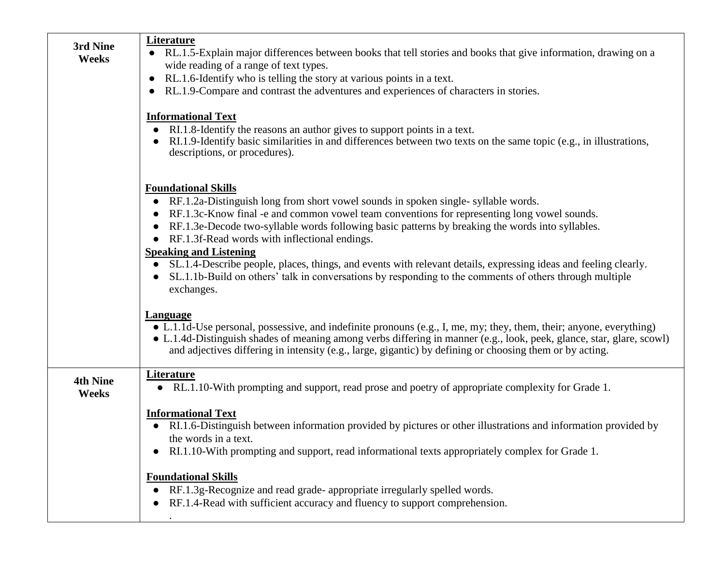| 3rd Nine<br><b>Weeks</b>        | <b>Literature</b><br>• RL.1.5-Explain major differences between books that tell stories and books that give information, drawing on a<br>wide reading of a range of text types.<br>RL.1.6-Identify who is telling the story at various points in a text.<br>$\bullet$<br>RL.1.9-Compare and contrast the adventures and experiences of characters in stories.<br>$\bullet$<br><b>Informational Text</b><br>RI.1.8-Identify the reasons an author gives to support points in a text.<br>$\bullet$<br>RI.1.9-Identify basic similarities in and differences between two texts on the same topic (e.g., in illustrations,<br>$\bullet$<br>descriptions, or procedures).<br><b>Foundational Skills</b> |
|---------------------------------|----------------------------------------------------------------------------------------------------------------------------------------------------------------------------------------------------------------------------------------------------------------------------------------------------------------------------------------------------------------------------------------------------------------------------------------------------------------------------------------------------------------------------------------------------------------------------------------------------------------------------------------------------------------------------------------------------|
|                                 | RF.1.2a-Distinguish long from short vowel sounds in spoken single-syllable words.<br>$\bullet$<br>RF.1.3c-Know final -e and common vowel team conventions for representing long vowel sounds.<br>$\bullet$<br>RF.1.3e-Decode two-syllable words following basic patterns by breaking the words into syllables.<br>$\bullet$<br>RF.1.3f-Read words with inflectional endings.<br>$\bullet$<br><b>Speaking and Listening</b><br>• SL.1.4-Describe people, places, things, and events with relevant details, expressing ideas and feeling clearly.<br>SL.1.1b-Build on others' talk in conversations by responding to the comments of others through multiple<br>$\bullet$<br>exchanges.              |
|                                 | <b>Language</b><br>• L.1.1d-Use personal, possessive, and indefinite pronouns (e.g., I, me, my; they, them, their; anyone, everything)<br>• L.1.4d-Distinguish shades of meaning among verbs differing in manner (e.g., look, peek, glance, star, glare, scowl)<br>and adjectives differing in intensity (e.g., large, gigantic) by defining or choosing them or by acting.                                                                                                                                                                                                                                                                                                                        |
| <b>4th Nine</b><br><b>Weeks</b> | <b>Literature</b><br>RL.1.10-With prompting and support, read prose and poetry of appropriate complexity for Grade 1.                                                                                                                                                                                                                                                                                                                                                                                                                                                                                                                                                                              |
|                                 | <b>Informational Text</b><br>RI.1.6-Distinguish between information provided by pictures or other illustrations and information provided by<br>$\bullet$<br>the words in a text.<br>RI.1.10-With prompting and support, read informational texts appropriately complex for Grade 1.<br>$\bullet$                                                                                                                                                                                                                                                                                                                                                                                                   |
|                                 | <b>Foundational Skills</b><br>RF.1.3g-Recognize and read grade- appropriate irregularly spelled words.<br>RF.1.4-Read with sufficient accuracy and fluency to support comprehension.<br>$\bullet$                                                                                                                                                                                                                                                                                                                                                                                                                                                                                                  |